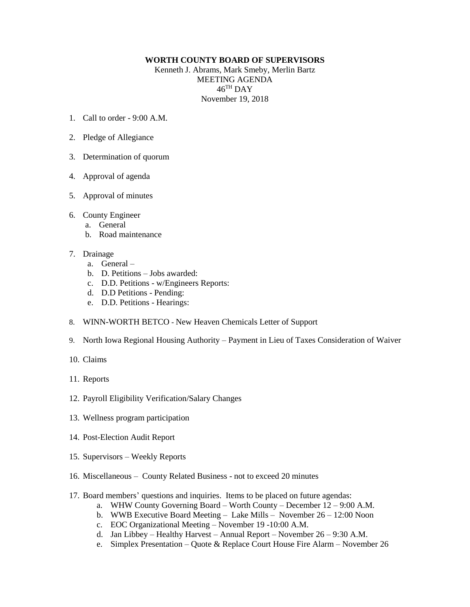## **WORTH COUNTY BOARD OF SUPERVISORS**

Kenneth J. Abrams, Mark Smeby, Merlin Bartz MEETING AGENDA  $46^{\mathrm{TH}}$  DAY November 19, 2018

- 1. Call to order 9:00 A.M.
- 2. Pledge of Allegiance
- 3. Determination of quorum
- 4. Approval of agenda
- 5. Approval of minutes
- 6. County Engineer
	- a. General
	- b. Road maintenance
- 7. Drainage
	- a. General –
	- b. D. Petitions Jobs awarded:
	- c. D.D. Petitions w/Engineers Reports:
	- d. D.D Petitions Pending:
	- e. D.D. Petitions Hearings:
- 8. WINN-WORTH BETCO New Heaven Chemicals Letter of Support
- 9. North Iowa Regional Housing Authority Payment in Lieu of Taxes Consideration of Waiver
- 10. Claims
- 11. Reports
- 12. Payroll Eligibility Verification/Salary Changes
- 13. Wellness program participation
- 14. Post-Election Audit Report
- 15. Supervisors Weekly Reports
- 16. Miscellaneous County Related Business not to exceed 20 minutes
- 17. Board members' questions and inquiries. Items to be placed on future agendas:
	- a. WHW County Governing Board Worth County December 12 9:00 A.M.
	- b. WWB Executive Board Meeting Lake Mills November 26 12:00 Noon
	- c. EOC Organizational Meeting November 19 -10:00 A.M.
	- d. Jan Libbey Healthy Harvest Annual Report November 26 9:30 A.M.
	- e. Simplex Presentation Quote & Replace Court House Fire Alarm November 26